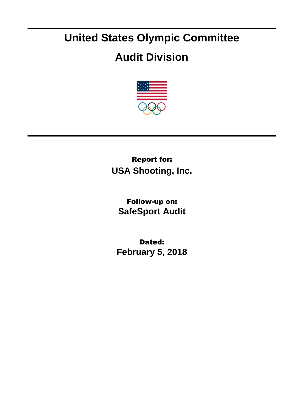## **United States Olympic Committee**

## **Audit Division**



Report for: **USA Shooting, Inc.**

Follow-up on: **SafeSport Audit**

Dated: **February 5, 2018**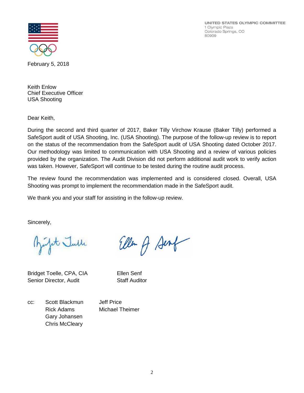UNITED STATES OLYMPIC COMMITTEE 1 Olympic Plaza Colorado Springs, CO 80909



February 5, 2018

Keith Enlow Chief Executive Officer USA Shooting

Dear Keith,

During the second and third quarter of 2017, Baker Tilly Virchow Krause (Baker Tilly) performed a SafeSport audit of USA Shooting, Inc. (USA Shooting). The purpose of the follow-up review is to report on the status of the recommendation from the SafeSport audit of USA Shooting dated October 2017. Our methodology was limited to communication with USA Shooting and a review of various policies provided by the organization. The Audit Division did not perform additional audit work to verify action was taken. However, SafeSport will continue to be tested during the routine audit process.

The review found the recommendation was implemented and is considered closed. Overall, USA Shooting was prompt to implement the recommendation made in the SafeSport audit.

Ellen A Sent

We thank you and your staff for assisting in the follow-up review.

Sincerely,

fit Julle

Bridget Toelle, CPA, CIA Ellen Senf Senior Director, Audit Staff Auditor

cc: Scott Blackmun Jeff Price Rick Adams Michael Theimer Gary Johansen Chris McCleary